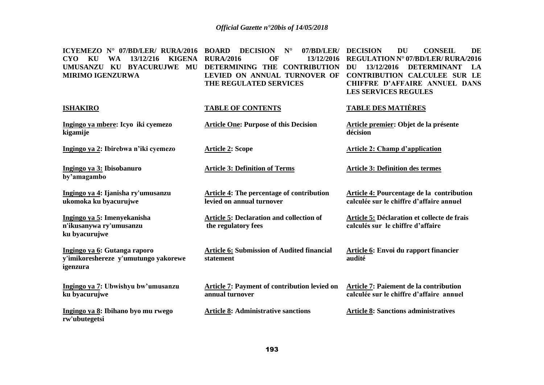| ICYEMEZO $N^{\circ}$ 07/BD/LER/ RURA/2016<br>KU<br>13/12/216<br><b>KIGENA</b><br><b>CYO</b><br><b>WA</b><br>UMUSANZU KU BYACURUJWE<br>MU<br><b>MIRIMO IGENZURWA</b> | <b>DECISION</b><br>$N^{\circ}$<br>07/BD/LER/<br><b>BOARD</b><br><b>RURA/2016</b><br>OF<br>13/12/2016<br>DETERMINING THE CONTRIBUTION<br>LEVIED ON ANNUAL TURNOVER OF<br>THE REGULATED SERVICES | <b>DECISION</b><br><b>CONSEIL</b><br>DU<br>DE<br><b>REGULATION N° 07/BD/LER/ RURA/2016</b><br>13/12/2016<br><b>DETERMINANT</b><br>LA<br>DU<br><b>CONTRIBUTION CALCULEE SUR LE</b><br><b>CHIFFRE D'AFFAIRE ANNUEL DANS</b><br><b>LES SERVICES REGULES</b> |
|---------------------------------------------------------------------------------------------------------------------------------------------------------------------|------------------------------------------------------------------------------------------------------------------------------------------------------------------------------------------------|----------------------------------------------------------------------------------------------------------------------------------------------------------------------------------------------------------------------------------------------------------|
| <b>ISHAKIRO</b>                                                                                                                                                     | <b>TABLE OF CONTENTS</b>                                                                                                                                                                       | <b>TABLE DES MATIÈRES</b>                                                                                                                                                                                                                                |
| Ingingo ya mbere: Icyo iki cyemezo<br>kigamije                                                                                                                      | <b>Article One: Purpose of this Decision</b>                                                                                                                                                   | Article premier: Objet de la présente<br>décision                                                                                                                                                                                                        |
| Ingingo ya 2: Ibirebwa n'iki cyemezo                                                                                                                                | <b>Article 2: Scope</b>                                                                                                                                                                        | <b>Article 2: Champ d'application</b>                                                                                                                                                                                                                    |
| Ingingo ya 3: Ibisobanuro<br>by'amagambo                                                                                                                            | <b>Article 3: Definition of Terms</b>                                                                                                                                                          | <b>Article 3: Definition des termes</b>                                                                                                                                                                                                                  |
| Ingingo ya 4: Ijanisha ry'umusanzu<br>ukomoka ku byacurujwe                                                                                                         | Article 4: The percentage of contribution<br>levied on annual turnover                                                                                                                         | Article 4: Pourcentage de la contribution<br>calculée sur le chiffre d'affaire annuel                                                                                                                                                                    |
| Ingingo ya 5: Imenyekanisha<br>n'ikusanywa ry'umusanzu<br>ku byacurujwe                                                                                             | <b>Article 5: Declaration and collection of</b><br>the regulatory fees                                                                                                                         | Article 5: Déclaration et collecte de frais<br>calculés sur le chiffre d'affaire                                                                                                                                                                         |
| Ingingo ya 6: Gutanga raporo<br>y'imikoreshereze y'umutungo yakorewe<br>igenzura                                                                                    | <b>Article 6: Submission of Audited financial</b><br>statement                                                                                                                                 | Article 6: Envoi du rapport financier<br>audité                                                                                                                                                                                                          |
| Ingingo ya 7: Ubwishyu bw'umusanzu<br>ku byacurujwe                                                                                                                 | Article 7: Payment of contribution levied on<br>annual turnover                                                                                                                                | Article 7: Paiement de la contribution<br>calculée sur le chiffre d'affaire annuel                                                                                                                                                                       |
| Ingingo ya 8: Ibihano byo mu rwego<br>rw'ubutegetsi                                                                                                                 | <b>Article 8: Administrative sanctions</b>                                                                                                                                                     | <b>Article 8: Sanctions administratives</b>                                                                                                                                                                                                              |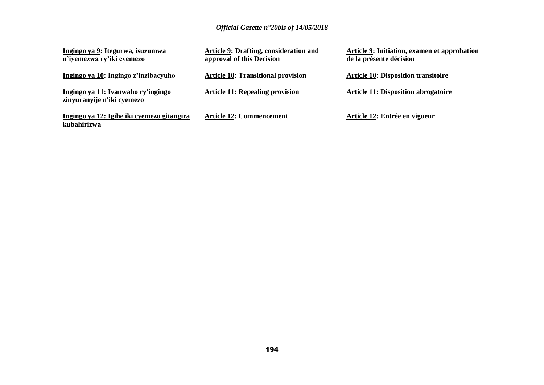| Ingingo ya 9: Itegurwa, isuzumwa<br>n'iyemezwa ry'iki cyemezo    | <b>Article 9: Drafting, consideration and</b><br>approval of this Decision | Article 9: Initiation, examen et approbation<br>de la présente décision |
|------------------------------------------------------------------|----------------------------------------------------------------------------|-------------------------------------------------------------------------|
| Ingingo ya 10: Ingingo z'inzibacyuho                             | <b>Article 10: Transitional provision</b>                                  | <b>Article 10: Disposition transitoire</b>                              |
| Ingingo ya 11: Ivanwaho ry'ingingo<br>zinyuranyije n'iki cyemezo | <b>Article 11: Repealing provision</b>                                     | <b>Article 11: Disposition abrogatoire</b>                              |
| Ingingo ya 12: Igihe iki cyemezo gitangira<br>kubahirizwa        | <b>Article 12: Commencement</b>                                            | Article 12: Entrée en vigueur                                           |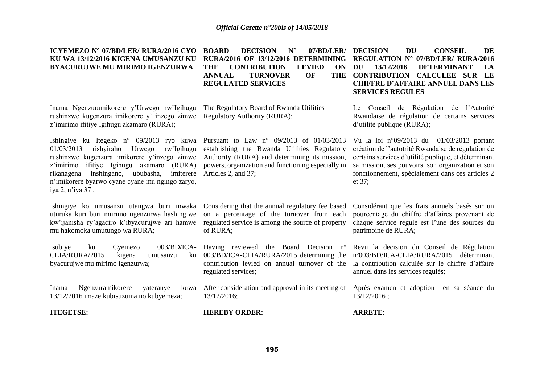### **ICYEMEZO N° 07/BD/LER/ RURA/2016 CYO KU WA 13/12/2016 KIGENA UMUSANZU KU BYACURUJWE MU MIRIMO IGENZURWA**

**THE CONTRIBUTION LEVIED ON ANNUAL TURNOVER OF REGULATED SERVICES**

Inama Ngenzuramikorere y'Urwego rw'Igihugu rushinzwe kugenzura imikorere y' inzego zimwe Regulatory Authority (RURA); z'imirimo ifitiye Igihugu akamaro (RURA);

Ishingiye ku Itegeko n° 09/2013 ryo kuwa Pursuant to Law n° 09/2013 of 01/03/2013 01/03/2013 rishyiraho Urwego rw'Igihugu rushinzwe kugenzura imikorere y'inzego zimwe Authority (RURA) and determining its mission, z'imirimo ifitiye Igihugu akamaro (RURA) rikanagena inshingano, ububasha, n'imikorere byarwo cyane cyane mu ngingo zaryo, iya 2, n'iya 37 ;

Ishingiye ko umusanzu utangwa buri mwaka Considering that the annual regulatory fee based uturuka kuri buri murimo ugenzurwa hashingiwe kw'ijanisha ry'agaciro k'ibyacurujwe ari hamwe regulated service is among the source of property mu hakomoka umutungo wa RURA;

Isubiye ku Cyemezo 003/BD/ICA-Having reviewed the Board Decision nº CLIA/RURA/2015 kigena umusanzu ku byacurujwe mu mirimo igenzurwa;

Inama Ngenzuramikorere yateranye 13/12/2016 imaze kubisuzuma no kubyemeza;

**ITEGETSE: HEREBY ORDER: ARRETE:**

The Regulatory Board of Rwanda Utilities

establishing the Rwanda Utilities Regulatory powers, organization and functioning especially in imiterere Articles 2, and 37;

> on a percentage of the turnover from each of RURA;

> 003/BD/ICA-CLIA/RURA/2015 determining the contribution levied on annual turnover of the regulated services;

After consideration and approval in its meeting of Après examen et adoption en sa séance du 13/12/2016;

**BOARD DECISION N° 07/BD/LER/ DECISION DU CONSEIL DE RURA/2016 OF 13/12/2016 DETERMINING REGULATION N° 07/BD/LER/ RURA/2016 DU 13/12/2016 DETERMINANT LA CONTRIBUTION CALCULEE SUR LE CHIFFRE D'AFFAIRE ANNUEL DANS LES SERVICES REGULES** 

> Le Conseil de Régulation de l'Autorité Rwandaise de régulation de certains services d'utilité publique (RURA);

> Vu la loi n°09/2013 du 01/03/2013 portant création de l'autotrité Rwandaise de régulation de certains services d'utilité publique, et déterminant sa mission, ses pouvoirs, son organization et son fonctionnement, spécialement dans ces articles 2 et 37;

> Considérant que les frais annuels basés sur un pourcentage du chiffre d'affaires provenant de chaque service regulé est l'une des sources du patrimoine de RURA;

> Revu la decision du Conseil de Régulation nº003/BD/ICA-CLIA/RURA/2015 déterminant la contribution calculée sur le chiffre d'affaire annuel dans les services regulés;

13/12/2016 ;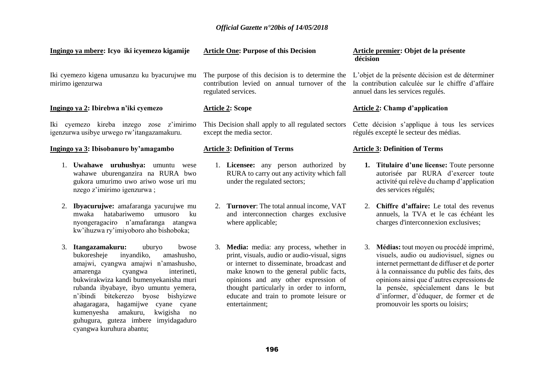| Ingingo ya mbere: Icyo iki icyemezo kigamije                                                                                                                                                                                                                                                                                                                                                                      | <b>Article One: Purpose of this Decision</b>                                                                                                                                                                                                                                                                                      | Article premier: Objet de la présente<br>décision                                                                                                                                                                                                                                                                                                          |
|-------------------------------------------------------------------------------------------------------------------------------------------------------------------------------------------------------------------------------------------------------------------------------------------------------------------------------------------------------------------------------------------------------------------|-----------------------------------------------------------------------------------------------------------------------------------------------------------------------------------------------------------------------------------------------------------------------------------------------------------------------------------|------------------------------------------------------------------------------------------------------------------------------------------------------------------------------------------------------------------------------------------------------------------------------------------------------------------------------------------------------------|
| Iki cyemezo kigena umusanzu ku byacurujwe mu<br>mirimo igenzurwa                                                                                                                                                                                                                                                                                                                                                  | The purpose of this decision is to determine the<br>contribution levied on annual turnover of the<br>regulated services.                                                                                                                                                                                                          | L'objet de la présente décision est de déterminer<br>la contribution calculée sur le chiffre d'affaire<br>annuel dans les services regulés.                                                                                                                                                                                                                |
| Ingingo ya 2: Ibirebwa n'iki cyemezo                                                                                                                                                                                                                                                                                                                                                                              | <b>Article 2: Scope</b>                                                                                                                                                                                                                                                                                                           | <b>Article 2: Champ d'application</b>                                                                                                                                                                                                                                                                                                                      |
| Iki cyemezo kireba inzego zose z'imirimo<br>igenzurwa usibye urwego rw'itangazamakuru.                                                                                                                                                                                                                                                                                                                            | This Decision shall apply to all regulated sectors<br>except the media sector.                                                                                                                                                                                                                                                    | Cette décision s'applique à tous les services<br>régulés excepté le secteur des médias.                                                                                                                                                                                                                                                                    |
| Ingingo ya 3: Ibisobanuro by'amagambo                                                                                                                                                                                                                                                                                                                                                                             | <b>Article 3: Definition of Terms</b>                                                                                                                                                                                                                                                                                             | <b>Article 3: Definition of Terms</b>                                                                                                                                                                                                                                                                                                                      |
| 1. <b>Uwahawe uruhushya:</b> umuntu<br>wese<br>wahawe uburenganzira na RURA bwo<br>gukora umurimo uwo ariwo wose uri mu<br>nzego z'imirimo igenzurwa;<br>2. Ibyacurujwe: amafaranga yacurujwe mu<br>hatabariwemo<br>mwaka<br>ku<br>umusoro                                                                                                                                                                        | 1. Licensee: any person authorized by<br>RURA to carry out any activity which fall<br>under the regulated sectors;<br>2. Turnover: The total annual income, VAT<br>and interconnection charges exclusive                                                                                                                          | 1. Titulaire d'une license: Toute personne<br>autorisée par RURA d'exercer toute<br>activité qui relève du champ d'application<br>des services régulés;<br>2. Chiffre d'affaire: Le total des revenus<br>annuels, la TVA et le cas échéant les                                                                                                             |
| nyongeragaciro n'amafaranga atangwa<br>kw'ihuzwa ry'imiyoboro aho bishoboka;                                                                                                                                                                                                                                                                                                                                      | where applicable;                                                                                                                                                                                                                                                                                                                 | charges d'interconnexion exclusives;                                                                                                                                                                                                                                                                                                                       |
| 3. Itangazamakuru:<br>uburyo<br>bwose<br>bukoresheje<br>amashusho,<br>inyandiko,<br>amajwi, cyangwa amajwi n'amashusho,<br>interineti,<br>amarenga<br>cyangwa<br>bukwirakwiza kandi bumenyekanisha muri<br>rubanda ibyabaye, ibyo umuntu yemera,<br>bitekerezo byose bishyizwe<br>n'ibindi<br>ahagaragara, hagamijwe cyane cyane<br>amakuru,<br>kwigisha no<br>kumenyesha<br>guhugura, guteza imbere imyidagaduro | 3. Media: media: any process, whether in<br>print, visuals, audio or audio-visual, signs<br>or internet to disseminate, broadcast and<br>make known to the general public facts,<br>opinions and any other expression of<br>thought particularly in order to inform,<br>educate and train to promote leisure or<br>entertainment; | Médias: tout moyen ou procédé imprimé,<br>3.<br>visuels, audio ou audiovisuel, signes ou<br>internet permettant de diffuser et de porter<br>à la connaissance du public des faits, des<br>opinions ainsi que d'autres expressions de<br>la pensée, spécialement dans le but<br>d'informer, d'éduquer, de former et de<br>promouvoir les sports ou loisirs; |

cyangwa kuruhura abantu;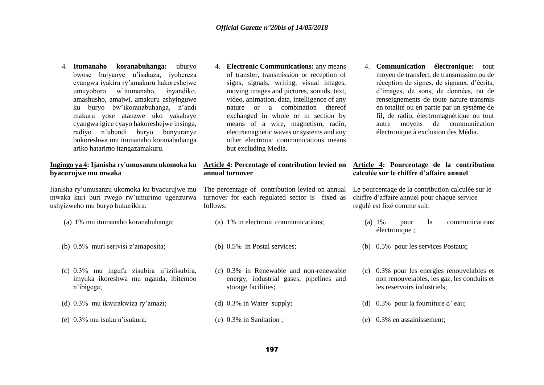4. **Itumanaho koranabuhanga:** uburyo bwose bujyanye n'isakaza, iyohereza cyangwa iyakira ry'amakuru hakoreshejwe umuyoboro w'itumanaho, inyandiko, amashusho, amajwi, amakuru ashyinguwe ku buryo bw'ikoranabuhanga, n'andi makuru yose atanzwe uko yakabaye cyangwa igice cyayo hakoreshejwe insinga, radiyo n'ubundi buryo bunyuranye bukoreshwa mu itumanaho koranabuhanga ariko hatarimo itangazamakuru.

#### **Ingingo ya 4: Ijanisha ry'umusanzu ukomoka ku byacurujwe mu mwaka**

Ijanisha ry'umusanzu ukomoka ku byacurujwe mu mwaka kuri buri rwego rw'umurimo ugenzurwa ushyizweho mu buryo bukurikira:

- 
- (b) 0.5% muri serivisi z'amaposita; (b) 0.5% in Postal services; (b) 0.5% pour les services Postaux;
- (c) 0.3% mu ingufu zisubira n'izitisubira, imyuka ikoreshwa mu nganda, ibitembo n'ibigega;
- (d) 0.3% mu ikwirakwiza ry'amazi;

(e) 0.3% mu isuku n'isukura;

4. **Electronic Communications:** any means of transfer, transmission or reception of signs, signals, writing, visual images, moving images and pictures, sounds, text, video, animation, data, intelligence of any nature or a combination thereof exchanged in whole or in section by means of a wire, magnetism, radio, electromagnetic waves or systems and any other electronic communications means but excluding Media.

#### **Article 4: Percentage of contribution levied on annual turnover**

The percentage of contribution levied on annual turnover for each regulated sector is fixed as follows:

- 
- 
- (c) 0.3% in Renewable and non-renewable energy, industrial gases, pipelines and storage facilities;
- (d) 0.3% in Water supply;
- (e) 0.3% in Sanitation ;

4. **Communication électronique:** tout moyen de transfert, de transmission ou de réception de signes, de signaux, d'écrits, d'images, de sons, de données, ou de renseignements de toute nature transmis en totalité ou en partie par un système de fil, de radio, électromagnétique ou tout autre moyens de communication électronique à exclusion des Média.

#### **Article 4: Pourcentage de la contribution calculée sur le chiffre d'affaire annuel**

Le pourcentage de la contribution calculée sur le chiffre d'affaire annuel pour chaque service regulé est fixé comme suit:

- (a) 1% mu itumanaho koranabuhanga; (a) 1% in electronic communications; (a) 1% pour la communications électronique ;
	-
	- (c) 0.3% pour les energies renouvelables et non renouvelables, les gaz, les conduits et les reservoirs industriels;
	- (d) 0.3% pour la fourniture d' eau;
	- (e) 0.3% en assainissement;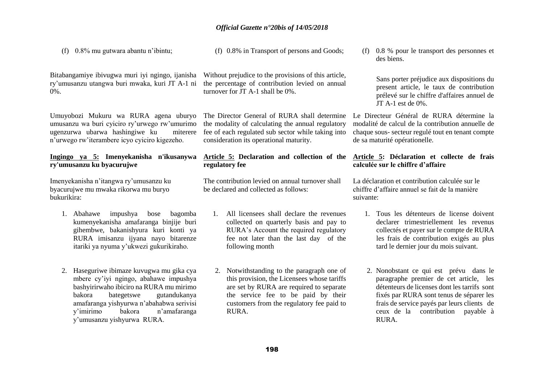(f) 0.8% mu gutwara abantu n'ibintu;

(f) 0.8% in Transport of persons and Goods;

Bitabangamiye ibivugwa muri iyi ngingo, ijanisha ry'umusanzu utangwa buri mwaka, kuri JT A-1 ni 0%.

Umuyobozi Mukuru wa RURA agena uburyo umusanzu wa buri cyiciro ry'urwego rw'umurimo ugenzurwa ubarwa hashingiwe ku miterere n'urwego rw'iterambere icyo cyiciro kigezeho.

### **Ingingo ya 5: Imenyekanisha n'ikusanywa ry'umusanzu ku byacurujwe**

Imenyekanisha n'itangwa ry'umusanzu ku byacurujwe mu mwaka rikorwa mu buryo bukurikira:

- 1. Abahawe impushya bose bagomba kumenyekanisha amafaranga binjije buri gihembwe, bakanishyura kuri konti ya RURA imisanzu ijyana nayo bitarenze itariki ya nyuma y'ukwezi gukurikiraho.
- 2. Haseguriwe ibimaze kuvugwa mu gika cya mbere cy'iyi ngingo, abahawe impushya bashyirirwaho ibiciro na RURA mu mirimo bakora bategetswe gutandukanya amafaranga yishyurwa n'abahabwa serivisi y'imirimo bakora n'amafaranga y'umusanzu yishyurwa RURA.

Without prejudice to the provisions of this article, the percentage of contribution levied on annual turnover for JT A-1 shall be 0%.

The Director General of RURA shall determine the modality of calculating the annual regulatory fee of each regulated sub sector while taking into consideration its operational maturity.

## **Article 5: Declaration and collection of the regulatory fee**

The contribution levied on annual turnover shall be declared and collected as follows:

- 1. All licensees shall declare the revenues collected on quarterly basis and pay to RURA's Account the required regulatory fee not later than the last day of the following month
- 2. Notwithstanding to the paragraph one of this provision, the Licensees whose tariffs are set by RURA are required to separate the service fee to be paid by their customers from the regulatory fee paid to RURA.

(f) 0.8 % pour le transport des personnes et des biens.

> Sans porter préjudice aux dispositions du present article, le taux de contribution prélevé sur le chiffre d'affaires annuel de JT A-1 est de 0%.

Le Directeur Général de RURA détermine la modalité de calcul de la contribution annuelle de chaque sous- secteur regulé tout en tenant compte de sa maturité opérationelle.

### **Article 5: Déclaration et collecte de frais calculée sur le chiffre d'affaire**

La déclaration et contribution calculée sur le chiffre d'affaire annuel se fait de la manière suivante:

- 1. Tous les détenteurs de license doivent declarer trimestriellement les revenus collectés et payer sur le compte de RURA les frais de contribution exigés au plus tard le dernier jour du mois suivant.
- 2. Nonobstant ce qui est prévu dans le paragraphe premier de cet article, les détenteurs de licenses dont les tarrifs sont fixés par RURA sont tenus de séparer les frais de service payés par leurs clients de ceux de la contribution payable à RURA.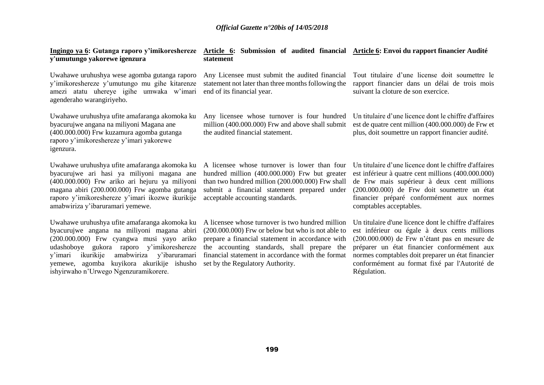| Ingingo ya 6: Gutanga raporo y'imikoreshereze<br>y'umutungo yakorewe igenzura                                                                                                                                                                                                                                                         | Article 6: Submission of audited financial Article 6: Envoi du rapport financier Audité<br>statement                                                                                                                                                                                              |                                                                                                                                                                                                                                                                                                                            |
|---------------------------------------------------------------------------------------------------------------------------------------------------------------------------------------------------------------------------------------------------------------------------------------------------------------------------------------|---------------------------------------------------------------------------------------------------------------------------------------------------------------------------------------------------------------------------------------------------------------------------------------------------|----------------------------------------------------------------------------------------------------------------------------------------------------------------------------------------------------------------------------------------------------------------------------------------------------------------------------|
| Uwahawe uruhushya wese agomba gutanga raporo<br>y'imikoreshereze y'umutungo mu gihe kitarenze<br>amezi atatu uhereye igihe umwaka w'imari<br>agenderaho warangiriyeho.                                                                                                                                                                | Any Licensee must submit the audited financial<br>statement not later than three months following the<br>end of its financial year.                                                                                                                                                               | Tout titulaire d'une license doit soumettre le<br>rapport financier dans un délai de trois mois<br>suivant la cloture de son exercice.                                                                                                                                                                                     |
| Uwahawe uruhushya ufite amafaranga akomoka ku<br>byacurujwe angana na miliyoni Magana ane<br>(400.000.000) Frw kuzamura agomba gutanga<br>raporo y'imikoreshereze y'imari yakorewe<br>igenzura.                                                                                                                                       | Any licensee whose turnover is four hundred<br>million (400.000.000) Frw and above shall submit<br>the audited financial statement.                                                                                                                                                               | Un titulaire d'une licence dont le chiffre d'affaires<br>est de quatre cent million (400.000.000) de Frw et<br>plus, doit soumettre un rapport financier audité.                                                                                                                                                           |
| Uwahawe uruhushya ufite amafaranga akomoka ku<br>byacurujwe ari hasi ya miliyoni magana ane<br>(400.000.000) Frw ariko ari hejuru ya miliyoni<br>magana abiri (200.000.000) Frw agomba gutanga<br>raporo y'imikoreshereze y'imari ikozwe ikurikije<br>amabwiriza y'ibaruramari yemewe.                                                | A licensee whose turnover is lower than four<br>hundred million (400.000.000) Frw but greater<br>than two hundred million (200.000.000) Frw shall<br>submit a financial statement prepared under<br>acceptable accounting standards.                                                              | Un titulaire d'une licence dont le chiffre d'affaires<br>est inférieur à quatre cent millions (400.000.000)<br>de Frw mais supérieur à deux cent millions<br>(200.000.000) de Frw doit soumettre un état<br>financier préparé conformément aux normes<br>comptables acceptables.                                           |
| Uwahawe uruhushya ufite amafaranga akomoka ku<br>byacurujwe angana na miliyoni magana abiri<br>(200.000.000) Frw cyangwa musi yayo ariko<br>udashoboye gukora raporo y'imikoreshereze<br>amabwiriza<br>ikurikije<br>y'ibaruramari<br>y'imari<br>agomba kuyikora akurikije ishusho<br>vemewe,<br>ishyirwaho n'Urwego Ngenzuramikorere. | A licensee whose turnover is two hundred million<br>(200.000.000) Frw or below but who is not able to<br>prepare a financial statement in accordance with<br>the accounting standards, shall prepare the<br>financial statement in accordance with the format<br>set by the Regulatory Authority. | Un titulaire d'une licence dont le chiffre d'affaires<br>est inférieur ou égale à deux cents millions<br>(200.000.000) de Frw n'étant pas en mesure de<br>préparer un état financier conformément aux<br>normes comptables doit preparer un état financier<br>conformément au format fixé par l'Autorité de<br>Régulation. |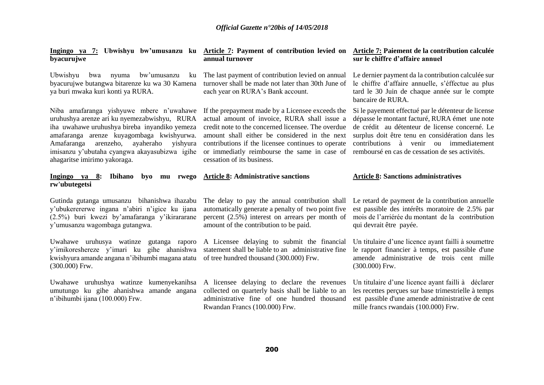| Ingingo ya 7: Ubwishyu bw'umusanzu ku Article 7: Payment of contribution levied on Article 7: Paiement de la contribution calculée<br>byacurujwe                                                                                                                                                                            | annual turnover                                                                                                                                                                                                                                                                                                                             | sur le chiffre d'affaire annuel                                                                                                                                                                                                                                                                          |
|-----------------------------------------------------------------------------------------------------------------------------------------------------------------------------------------------------------------------------------------------------------------------------------------------------------------------------|---------------------------------------------------------------------------------------------------------------------------------------------------------------------------------------------------------------------------------------------------------------------------------------------------------------------------------------------|----------------------------------------------------------------------------------------------------------------------------------------------------------------------------------------------------------------------------------------------------------------------------------------------------------|
| Ubwishyu<br>bwa<br>bw'umusanzu<br>nyuma<br>ku<br>byacurujwe butangwa bitarenze ku wa 30 Kamena<br>ya buri mwaka kuri konti ya RURA.                                                                                                                                                                                         | The last payment of contribution levied on annual<br>turnover shall be made not later than 30th June of<br>each year on RURA's Bank account.                                                                                                                                                                                                | Le dernier payment da la contribution calculée sur<br>le chiffre d'affaire annuelle, s'éffectue au plus<br>tard le 30 Juin de chaque année sur le compte<br>bancaire de RURA.                                                                                                                            |
| Niba amafaranga yishyuwe mbere n'uwahawe<br>uruhushya arenze ari ku nyemezabwishyu, RURA<br>iha uwahawe uruhushya bireba inyandiko yemeza<br>amafaranga arenze kuyagombaga kwishyurwa.<br>arenzeho,<br>Amafaranga<br>ayaheraho<br>yishyura<br>imisanzu y'ubutaha cyangwa akayasubizwa igihe<br>ahagaritse imirimo yakoraga. | If the prepayment made by a Licensee exceeds the<br>actual amount of invoice, RURA shall issue a<br>credit note to the concerned licensee. The overdue<br>amount shall either be considered in the next<br>contributions if the licensee continues to operate<br>or immediatly reimbourse the same in case of<br>cessation of its business. | Si le payement effectué par le détenteur de license<br>dépasse le montant facturé, RURA émet une note<br>de crédit au détenteur de license concerné. Le<br>surplus doit être tenu en considération dans les<br>contributions à venir ou immediatement<br>remboursé en cas de cessation de ses activités. |
| <b>Ibihano</b><br>Ingingo ya 8:<br>byo<br>rwego<br>mu<br>rw'ubutegetsi                                                                                                                                                                                                                                                      | <b>Article 8: Administrative sanctions</b>                                                                                                                                                                                                                                                                                                  | <b>Article 8: Sanctions administratives</b>                                                                                                                                                                                                                                                              |
| Gutinda gutanga umusanzu bihanishwa ihazabu<br>y'ubukerererwe ingana n'abiri n'igice ku ijana<br>(2.5%) buri kwezi by'amafaranga y'ikirararane<br>y'umusanzu wagombaga gutangwa.                                                                                                                                            | The delay to pay the annual contribution shall<br>automatically generate a penalty of two point five<br>percent $(2.5\%)$ interest on arrears per month of<br>amount of the contribution to be paid.                                                                                                                                        | Le retard de payment de la contribution annuelle<br>est passible des intérêts moratoire de 2.5% par<br>mois de l'arriérée du montant de la contribution<br>qui devrait être payée.                                                                                                                       |
| Uwahawe uruhusya watinze gutanga raporo<br>y'imikoreshereze y'imari ku gihe ahanishwa<br>kwishyura amande angana n'ibihumbi magana atatu<br>$(300.000)$ Frw.                                                                                                                                                                | A Licensee delaying to submit the financial<br>statement shall be liable to an administrative fine<br>of tree hundred thousand (300.000) Frw.                                                                                                                                                                                               | Un titulaire d'une licence ayant failli à soumettre<br>le rapport financier à temps, est passible d'une<br>amende administrative de trois cent mille<br>$(300.000)$ Frw.                                                                                                                                 |
| Uwahawe uruhushya watinze<br>kumenyekanihsa<br>umutungo ku gihe ahanishwa<br>amande angana<br>n'ibihumbi ijana (100.000) Frw.                                                                                                                                                                                               | A licensee delaying to declare the revenues<br>collected on quarterly basis shall be liable to an<br>administrative fine of one hundred thousand<br>Rwandan Francs (100.000) Frw.                                                                                                                                                           | Un titulaire d'une licence ayant failli à déclarer<br>les recettes perçues sur base trimestrielle à temps<br>est passible d'une amende administrative de cent<br>mille francs rwandais (100.000) Frw.                                                                                                    |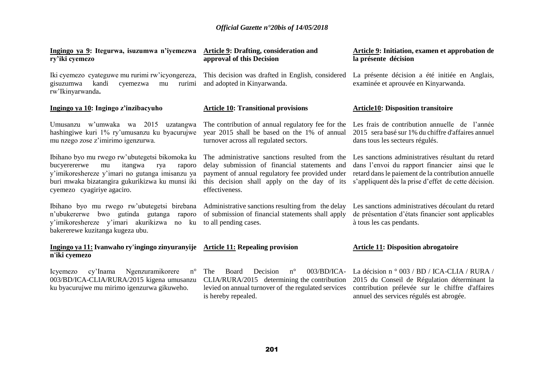| Ingingo ya 9: Itegurwa, isuzumwa n'iyemezwa<br>ry'iki cyemezo                                                                                                                                                                        | <b>Article 9: Drafting, consideration and</b><br>approval of this Decision                                                                                                                                         | <b>Article 9: Initiation, examen et approbation de</b><br>la présente décision                                                                                                                                     |
|--------------------------------------------------------------------------------------------------------------------------------------------------------------------------------------------------------------------------------------|--------------------------------------------------------------------------------------------------------------------------------------------------------------------------------------------------------------------|--------------------------------------------------------------------------------------------------------------------------------------------------------------------------------------------------------------------|
| Iki cyemezo cyateguwe mu rurimi rw'icyongereza,<br>gisuzumwa<br>kandi<br>cyemezwa<br>mu<br>rurimi<br>rw'Ikinyarwanda.                                                                                                                | This decision was drafted in English, considered<br>and adopted in Kinyarwanda.                                                                                                                                    | La présente décision a été initiée en Anglais,<br>examinée et aprouvée en Kinyarwanda.                                                                                                                             |
| Ingingo ya 10: Ingingo z'inzibacyuho                                                                                                                                                                                                 | <b>Article 10: Transitional provisions</b>                                                                                                                                                                         | <b>Article10: Disposition transitoire</b>                                                                                                                                                                          |
| Umusanzu w'umwaka wa 2015 uzatangwa<br>hashingiwe kuri 1% ry'umusanzu ku byacurujwe<br>mu nzego zose z'imirimo igenzurwa.                                                                                                            | The contribution of annual regulatory fee for the<br>year 2015 shall be based on the 1% of annual<br>turnover across all regulated sectors.                                                                        | Les frais de contribution annuelle de l'année<br>2015 sera basé sur 1% du chiffre d'affaires annuel<br>dans tous les secteurs régulés.                                                                             |
| Ibihano byo mu rwego rw'ubutegetsi bikomoka ku<br>bucyerererwe<br>itangwa<br>mu<br>rya<br>raporo<br>y'imikoreshereze y'imari no gutanga imisanzu ya<br>buri mwaka bizatangira gukurikizwa ku munsi iki<br>cyemezo cyagiriye agaciro. | The administrative sanctions resulted from the<br>delay submission of financial statements and<br>payment of annual regulatory fee provided under<br>this decision shall apply on the day of its<br>effectiveness. | Les sanctions administratives résultant du retard<br>dans l'envoi du rapport financier ainsi que le<br>retard dans le paiement de la contribution annuelle<br>s'appliquent dès la prise d'effet de cette décision. |
| Ibihano byo mu rwego rw'ubutegetsi birebana<br>n'ubukererwe bwo gutinda gutanga<br>raporo<br>y'imikoreshereze y'imari akurikizwa no ku<br>bakererewe kuzitanga kugeza ubu.                                                           | Administrative sanctions resulting from the delay<br>of submission of financial statements shall apply<br>to all pending cases.                                                                                    | Les sanctions administratives découlant du retard<br>de présentation d'états financier sont applicables<br>à tous les cas pendants.                                                                                |
| Ingingo ya 11: Ivanwaho ry'ingingo zinyuranyije Article 11: Repealing provision<br>n'iki cyemezo                                                                                                                                     |                                                                                                                                                                                                                    | <b>Article 11: Disposition abrogatoire</b>                                                                                                                                                                         |
| Ngenzuramikorere<br>$n^{\circ}$<br>Icyemezo<br>cy'Inama<br>003/BD/ICA-CLIA/RURA/2015 kigena umusanzu<br>ku byacurujwe mu mirimo igenzurwa gikuweho.                                                                                  | The<br>Board<br>$n^{\circ}$<br>$003/BD/ICA-$<br>Decision<br>CLIA/RURA/2015 determining the contribution<br>levied on annual turnover of the regulated services<br>is hereby repealed.                              | La décision n $\degree$ 003 / BD / ICA-CLIA / RURA /<br>2015 du Conseil de Régulation déterminant la<br>contribution prélevée sur le chiffre d'affaires<br>annuel des services régulés est abrogée.                |